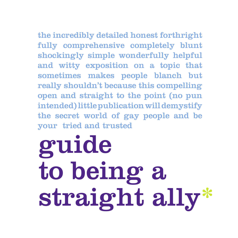# the incredibly detailed honest forthright

fully comprehensive completely blunt shockingly simple wonderfully helpful and witty exposition on a topic that sometimes makes people blanch but really shouldn't because this compelling open and straight to the point (no pun intended) little publication will demystify the secret world of gay people and be your tried and trusted

# guide to being a straight ally\*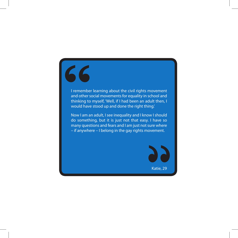# 66

I remember learning about the civil rights movement and other social movements for equality in school and thinking to myself, 'Well, if I had been an adult then, I would have stood up and done the right thing.'

Now I am an adult, I see inequality and I know I should do something, but it is just not that easy. I have so many questions and fears and I am just not sure where – if anywhere – I belong in the gay rights movement.

Katie, 29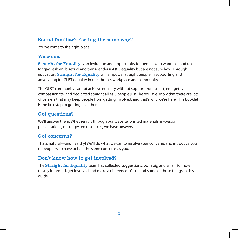## Sound familiar? Feeling the same way?

You've come to the right place.

#### Welcome.

Straight for Equality is an invitation and opportunity for people who want to stand up for gay, lesbian, bisexual and transgender (GLBT) equality but are not sure how. Through education, Straight for Equality will empower straight people in supporting and advocating for GLBT equality in their home, workplace and community.

The GLBT community cannot achieve equality without support from smart, energetic, compassionate, and dedicated straight allies…people just like you. We know that there are lots of barriers that may keep people from getting involved, and that's why we're here. This booklet is the first step to getting past them.

## Got questions?

We'll answer them. Whether it is through our website, printed materials, in-person presentations, or suggested resources, we have answers.

## Got concerns?

That's natural—and healthy! We'll do what we can to resolve your concerns and introduce you to people who have or had the same concerns as you.

# Don't know how to get involved?

The **Straight for Equality** team has collected suggestions, both big and small, for how to stay informed, get involved and make a difference. You'll find some of those things in this guide.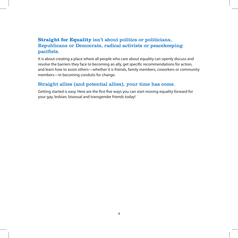# **Straight for Equality** isn't about politics or politicians, Republicans or Democrats, radical activists or peacekeeping pacifists.

It is about creating a place where all people who care about equality can openly discuss and resolve the barriers they face to becoming an ally, get specific recommendations for action, and learn how to assist others—whether it is friends, family members, coworkers or community members—in becoming conduits for change.

### Straight allies (and potential allies), your time has come.

Getting started is easy. Here are the first five ways you can start moving equality forward for your gay, lesbian, bisexual and transgender friends today!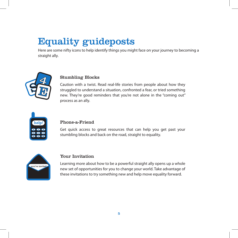# Equality guideposts

Here are some nifty icons to help identify things you might face on your journey to becoming a straight ally.



#### Stumbling Blocks

Caution with a twist. Read real-life stories from people about how they struggled to understand a situation, confronted a fear, or tried something new. They're good reminders that you're not alone in the "coming out" process as an ally.



#### Phone-a-Friend

Get quick access to great resources that can help you get past your stumbling blocks and back on the road, straight to equality.



#### Your Invitation

Learning more about how to be a powerful straight ally opens up a whole new set of opportunities for you to change your world. Take advantage of these invitations to try something new and help move equality forward.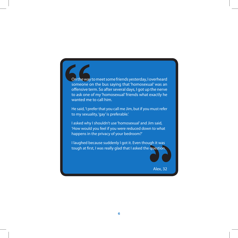On the way to meet some friends yesterday, I overheard someone on the bus saying that 'homosexual' was an offensive term. So after several days, I got up the nerve to ask one of my 'homosexual' friends what exactly he wanted me to call him.

He said, 'I prefer that you call me Jim, but if you must refer to my sexuality, 'gay' is preferable.'

I asked why I shouldn't use 'homosexual' and Jim said, 'How would you feel if you were reduced down to what happens in the privacy of your bedroom?'

I laughed because suddenly I got it. Even though it was tough at first, I was really glad that I asked the question.

Alex, 32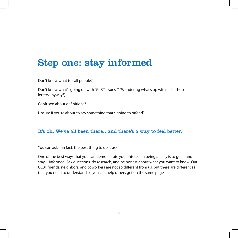# Step one: stay informed

Don't know what to call people?

Don't know what's going on with "GLBT issues"? (Wondering what's up with all of those letters anyway?)

Confused about definitions?

Unsure if you're about to say something that's going to offend?

### It's ok. We've all been there…and there's a way to feel better.

You can ask—in fact, the best thing to do is ask.

One of the best ways that you can demonstrate your interest in being an ally is to get—and stay—informed. Ask questions, do research, and be honest about what you want to know. Our GLBT friends, neighbors, and coworkers are not so different from us, but there are differences that you need to understand so you can help others get on the same page.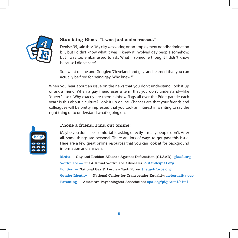

#### Stumbling Block: "I was just embarrassed."

Denise, 35, said this: "My city was voting on an employment nondiscrimination bill, but I didn't know what it was! I knew it involved gay people somehow, but I was too embarrassed to ask. What if someone thought I didn't know because I didn't care?

So I went online and Googled 'Cleveland and gay' and learned that you can actually be fired for being gay! Who knew?"

When you hear about an issue on the news that you don't understand, look it up or ask a friend. When a gay friend uses a term that you don't understand—like "queer"—ask. Why exactly are there rainbow flags all over the Pride parade each year? Is this about a culture? Look it up online. Chances are that your friends and colleagues will be pretty impressed that you took an interest in wanting to say the right thing or to understand what's going on.



#### Phone a friend: Find out online!

Maybe you don't feel comfortable asking directly—many people don't. After all, some things are personal. There are lots of ways to get past this issue. Here are a few great online resources that you can look at for background information and answers.

Media — Gay and Lesbian Alliance Against Defamation (GLAAD): glaad.org Workplace — Out & Equal Workplace Advocates: outandequal.org Politics — National Gay & Lesbian Task Force: thetaskforce.org Gender Identity — National Center for Transgender Equality: nctequality.org Parenting — American Psychological Association: apa.org/pi/parent.html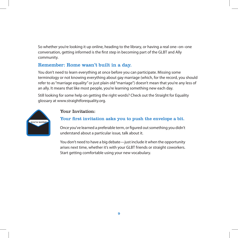So whether you're looking it up online, heading to the library, or having a real one–on–one conversation, getting informed is the first step in becoming part of the GLBT and Ally community.

# Remember: Rome wasn't built in a day.

You don't need to learn everything at once before you can participate. Missing some terminology or not knowing everything about gay marriage (which, for the record, you should refer to as "marriage equality" or just plain old "marriage") doesn't mean that you're any less of an ally. It means that like most people, you're learning something new each day.

Still looking for some help on getting the right words? Check out the Straight for Equality glossary at www.straightforequality.org.



## Your Invitation:

## Your first invitation asks you to push the envelope a bit.

Once you've learned a preferable term, or figured out something you didn't understand about a particular issue, talk about it.

You don't need to have a big debate—just include it when the opportunity arises next time, whether it's with your GLBT friends or straight coworkers. Start getting comfortable using your new vocabulary.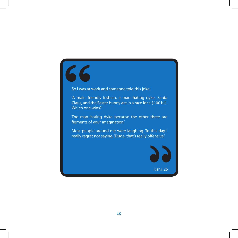# 66

So I was at work and someone told this joke:

'A male–friendly lesbian, a man–hating dyke, Santa Claus, and the Easter bunny are in a race for a \$100 bill. Which one wins?

The man–hating dyke because the other three are figments of your imagination.'

Most people around me were laughing. To this day I really regret not saying, 'Dude, that's really offensive.'

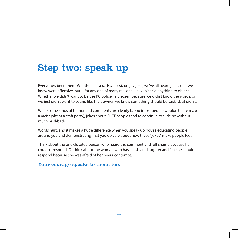# Step two: speak up

Everyone's been there. Whether it is a racist, sexist, or gay joke, we've all heard jokes that we knew were offensive, but—for any one of many reasons—haven't said anything to object. Whether we didn't want to be the PC police, felt frozen because we didn't know the words, or we just didn't want to sound like the downer, we knew something should be said…but didn't.

While some kinds of humor and comments are clearly taboo (most people wouldn't dare make a racist joke at a staff party), jokes about GLBT people tend to continue to slide by without much pushback.

Words hurt, and it makes a huge difference when you speak up. You're educating people around you and demonstrating that you do care about how these "jokes" make people feel.

Think about the one closeted person who heard the comment and felt shame because he couldn't respond. Or think about the woman who has a lesbian daughter and felt she shouldn't respond because she was afraid of her peers' contempt.

### Your courage speaks to them, too.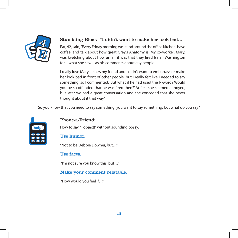

### Stumbling Block: "I didn't want to make her look bad…"

Pat, 42, said, "Every Friday morning we stand around the office kitchen, have coffee, and talk about how great Grey's Anatomy is. My co-worker, Mary, was kvetching about how unfair it was that they fired Isaiah Washington for – what she saw – as his comments about gay people.

I really love Mary—she's my friend and I didn't want to embarrass or make her look bad in front of other people, but I really felt like I needed to say something, so I commented, 'But what if he had used the N-word? Would you be so offended that he was fired then?' At first she seemed annoyed, but later we had a great conversation and she conceded that she never thought about it that way."

So you know that you need to say something, you want to say something, but what do you say?



#### Phone-a-Friend:

How to say, "I object!" without sounding bossy.

#### Use humor.

"Not to be Debbie Downer, but…"

#### Use facts.

"I'm not sure you know this, but…"

#### Make your comment relatable.

"How would you feel if…"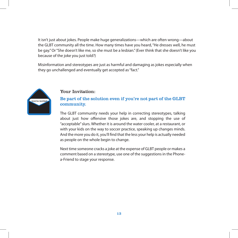It isn't just about jokes. People make huge generalizations—which are often wrong—about the GLBT community all the time. How many times have you heard, "He dresses well, he must be gay." Or "She doesn't like me, so she must be a lesbian." (Ever think that she doesn't like you because of the joke you just told?)

Misinformation and stereotypes are just as harmful and damaging as jokes especially when they go unchallenged and eventually get accepted as "fact."



#### Your Invitation:

#### Be part of the solution even if you're not part of the GLBT community.

The GLBT community needs your help in correcting stereotypes, talking about just how offensive those jokes are, and stopping the use of "acceptable" slurs. Whether it is around the water cooler, at a restaurant, or with your kids on the way to soccer practice, speaking up changes minds. And the more you do it, you'll find that the less your help is actually needed as people on the whole begin to change.

Next time someone cracks a joke at the expense of GLBT people or makes a comment based on a stereotype, use one of the suggestions in the Phonea-Friend to stage your response.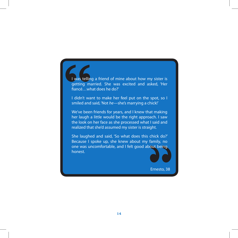I was telling a friend of mine about how my sister is getting married. She was excited and asked, 'Her fiancé…what does he do?'

I didn't want to make her feel put on the spot, so I smiled and said, 'Not *he*—she's marrying a chick!'

We've been friends for years, and I knew that making her laugh a little would be the right approach. I saw the look on her face as she processed what I said and realized that she'd assumed my sister is straight.

She laughed and said, 'So what does this chick do?' Because I spoke up, she knew about my family, no one was uncomfortable, and I felt good about being honest.

Ernesto, 38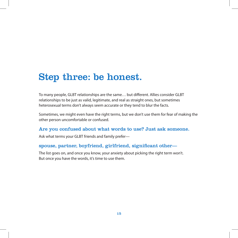# Step three: be honest.

To many people, GLBT relationships are the same… but different. Allies consider GLBT relationships to be just as valid, legitimate, and real as straight ones, but sometimes heterosexual terms don't always seem accurate or they tend to blur the facts.

Sometimes, we might even have the right terms, but we don't use them for fear of making the other person uncomfortable or confused.

#### Are you confused about what words to use? Just ask someone.

Ask what terms your GLBT friends and family prefer—

#### spouse, partner, boyfriend, girlfriend, significant other—

The list goes on, and once you know, your anxiety about picking the right term won't. But once you have the words, it's time to use them.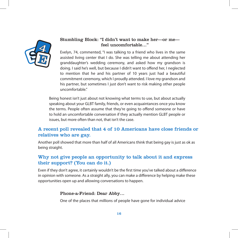

#### Stumbling Block: "I didn't want to make her—or me feel uncomfortable…"

Evelyn, 74, commented, "I was talking to a friend who lives in the same assisted living center that I do. She was telling me about attending her granddaughter's wedding ceremony, and asked how my grandson is doing. I said he's well, but because I didn't want to offend her, I neglected to mention that he and his partner of 10 years just had a beautiful commitment ceremony, which I proudly attended. I love my grandson and his partner, but sometimes I just don't want to risk making other people uncomfortable."

Being honest isn't just about not knowing what terms to use, but about actually speaking about your GLBT family, friends, or even acquaintances once you know the terms. People often assume that they're going to offend someone or have to hold an uncomfortable conversation if they actually mention GLBT people or issues, but more often than not, that isn't the case.

# A recent poll revealed that 4 of 10 Americans have close friends or relatives who are gay.

Another poll showed that more than half of all Americans think that being gay is just as ok as being straight.

# Why not give people an opportunity to talk about it and express their support? (You can do it.)

Even if they don't agree, it certainly wouldn't be the first time you've talked about a difference in opinion with someone. As a straight ally, you can make a difference by helping make these opportunities open up and allowing conversations to happen.

#### Phone-a-Friend: Dear Abby…

One of the places that millions of people have gone for individual advice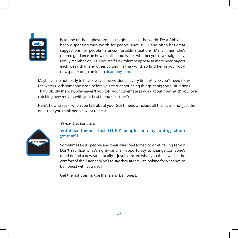

is to one of the highest-profile straight allies in the world. Dear Abby has been dispensing wise words for people since 1956, and often has great suggestions for people in uncomfortable situations. Many times, she's offered guidance on how to talk about issues whether you're a straight ally, family member, or GLBT yourself. Her columns appear in more newspapers each week than any other column in the world, so find her in your local newspaper or go online to dearabby.com.

Maybe you're not ready to have every conversation at every time. Maybe you'll need to test the waters with someone close before you start announcing things at big social situations. That's ok. (By the way, why haven't you told your cubemate at work about how much you love catching new movies with your best friend's partner?)

Here's how to start: when you talk about your GLBT friends, include all the facts—not just the ones that you think people want to hear.



#### Your Invitation:

### Validate terms that GLBT people use by using them yourself.

Sometimes GLBT people and their allies feel forced to omit "telling terms." Don't sacrifice what's right—and an opportunity to change someone's mind or find a new straight ally—just to ensure what you think will be the comfort of the listener. Who's to say they aren't just looking for a chance to be honest with you also?

Get the right terms, use them, and be honest.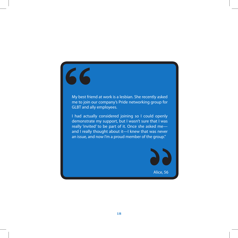# 66

My best friend at work is a lesbian. She recently asked me to join our company's Pride networking group for GLBT and ally employees.

I had actually considered joining so I could openly demonstrate my support, but I wasn't sure that I was really 'invited' to be part of it. Once she asked me and I really thought about it—I knew that was never an issue, and now I'm a proud member of the group."

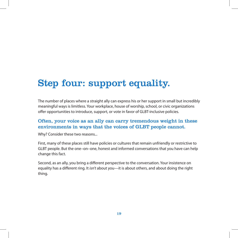# Step four: support equality.

The number of places where a straight ally can express his or her support in small but incredibly meaningful ways is limitless. Your workplace, house of worship, school, or civic organizations offer opportunities to introduce, support, or vote in favor of GLBT-inclusive policies.

### Often, your voice as an ally can carry tremendous weight in these environments in ways that the voices of GLBT people cannot.

Why? Consider these two reasons...

First, many of these places still have policies or cultures that remain unfriendly or restrictive to GLBT people. But the one–on–one, honest and informed conversations that you have can help change this fact.

Second, as an ally, you bring a different perspective to the conversation. Your insistence on equality has a different ring. It *isn't* about you—it is about others, and about doing the right thing.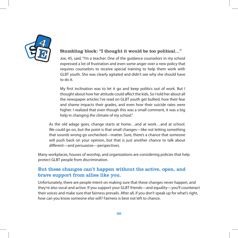

#### Stumbling block: "I thought it would be too political…"

Joe, 45, said, "I'm a teacher. One of the guidance counselors in my school expressed a lot of frustration and even some anger over a new policy that requires counselors to receive special training to help them work with GLBT youth. She was clearly agitated and didn't see why she should have to do it.

My first inclination was to let it go and keep politics out of work. But I thought about how her attitude could affect the kids. So I told her about all the newspaper articles I've read on GLBT youth get bullied, how their fear and shame impacts their grades, and even how their suicide rates were higher. I realized that even though this was a small comment, it was a big help in changing the climate of my school."

As the old adage goes, change starts at home…and at work…and at school. We could go on, but the point is that small changes—like not letting something that sounds wrong go unchecked—matter. Sure, there's a chance that someone will push back on your opinion, but that is just another chance to talk about different—and persuasive—perspectives.

Many workplaces, houses of worship, and organizations are considering policies that help protect GLBT people from discrimination.

## But these changes can't happen without the active, open, and brave support from allies like you.

Unfortunately, there are people intent on making sure that these changes never happen, and they're also vocal and active. If you support your GLBT friends—and equality—you'll counteract their voices and make sure that fairness prevails. After all, if you don't speak up for what's right, how can you know someone else will? Fairness is best not left to chance.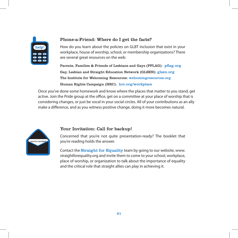

#### Phone-a-Friend: Where do I get the facts?

How do you learn about the policies on GLBT inclusion that exist in your workplace, house of worship, school, or membership organizations? There are several great resources on the web:

Parents, Families & Friends of Lesbians and Gays (PFLAG): pflag.org Gay, Lesbian and Straight Education Network (GLSEN): glsen.org The Institute for Welcoming Resources: welcomingresources.org Human Rights Campaign (HRC): hrc.org/workplace

Once you've done some homework and know where the places that matter to you stand, get active. Join the Pride group at the office, get on a committee at your place of worship that is considering changes, or just be vocal in your social circles. All of your contributions as an ally make a difference, and as you witness positive change, doing it more becomes natural.



#### Your Invitation: Call for backup!

Concerned that you're not quite presentation-ready? The booklet that you're reading holds the answer.

Contact the **Straight for Equality** team by going to our website, www. straightforequality.org and invite them to come to your school, workplace, place of worship, or organization to talk about the importance of equality and the critical role that straight allies can play in achieving it.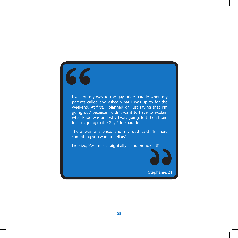# 66

I was on my way to the gay pride parade when my parents called and asked what I was up to for the weekend. At first, I planned on just saying that 'I'm going out' because I didn't want to have to explain what Pride was and why I was going. But then I said it—'I'm going to the Gay Pride parade.'

There was a silence, and my dad said, 'Is there something you want to tell us?'

I replied, 'Yes. I'm a straight ally—and proud of it!''

Stephanie, 21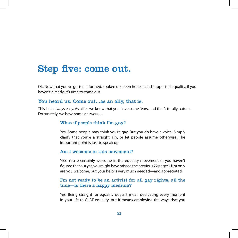# Step five: come out.

Ok. Now that you've gotten informed, spoken up, been honest, and supported equality, if you haven't already, it's time to come out.

#### You heard us: Come out…as an ally, that is.

This isn't always easy. As allies we know that you have some fears, and that's totally natural. Fortunately, we have some answers…

#### What if people think I'm gay?

Yes. Some people may think you're gay. But you do have a voice. Simply clarify that you're a straight ally, or let people assume otherwise. The important point is just to speak up.

#### Am I welcome in this movement?

YES! You're certainly welcome in the equality movement (if you haven't figured that out yet, you might have missed the previous 22 pages). Not only are you welcome, but your help is very much needed—and appreciated.

#### I'm not ready to be an activist for all gay rights, all the time—is there a happy medium?

Yes. Being straight for equality doesn't mean dedicating every moment in your life to GLBT equality, but it means employing the ways that you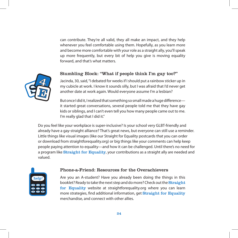can contribute. They're all valid, they all make an impact, and they help whenever you feel comfortable using them. Hopefully, as you learn more and become more comfortable with your role as a straight ally, you'll speak up more frequently, but every bit of help you give is moving equality forward, and that's what matters.

#### Stumbling Block: "What if people think I'm gay too?"



Jacinda, 30, said, "I debated for weeks if I should put a rainbow sticker up in my cubicle at work. I know it sounds silly, but I was afraid that I'd never get another date at work again. Would everyone assume I'm a lesbian?

But once I did it, I realized that something so small made a huge difference it started great conversations, several people told me that they have gay kids or siblings, and I can't even tell you how many people came out to me. I'm really glad that I did it."

Do you feel like your workplace is super-inclusive? Is your school very GLBT-friendly and already have a gay-straight alliance? That's great news, but everyone can still use a reminder. Little things like visual images (like our Straight for Equality postcards that you can order or download from straightforequality.org) or big things like your comments can help keep people paying attention to equality—and how it can be challenged. Until there's no need for a program like Straight for Equality, your contributions as a straight ally are needed and valued.



#### Phone-a-Friend: Resources for the Overachievers

Are you an A-student? Have you already been doing the things in this booklet? Ready to take the next step and do more? Check out the **Straight** for Equality website at straightforequality.org where you can learn more strategies, find additional information, get Straight for Equality merchandise, and connect with other allies.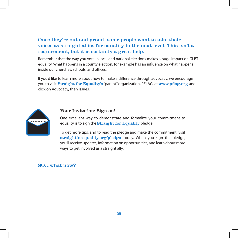Once they're out and proud, some people want to take their voices as straight allies for equality to the next level. This isn't a requirement, but it is certainly a great help.

Remember that the way you vote in local and national elections makes a huge impact on GLBT equality. What happens in a county election, for example has an influence on what happens inside our churches, schools, and offices.

If you'd like to learn more about how to make a difference through advocacy, we encourage you to visit Straight for Equality's "parent" organization, PFLAG, at www.pflag.org and click on Advocacy, then Issues.



#### Your Invitation: Sign on!

One excellent way to demonstrate and formalize your commitment to equality is to sign the **Straight for Equality** pledge.

To get more tips, and to read the pledge and make the commitment, visit straightforequality.org/pledge today. When you sign the pledge, you'll receive updates, information on opportunities, and learn about more ways to get involved as a straight ally.

#### SO…what now?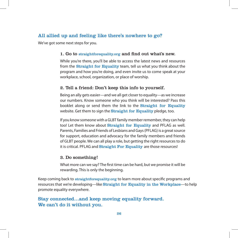### All allied up and feeling like there's nowhere to go?

We've got some next steps for you.

#### 1. Go to straightforequality.org and find out what's new.

While you're there, you'll be able to access the latest news and resources from the **Straight for Equality** team, tell us what you think about the program and how you're doing, and even invite us to come speak at your workplace, school, organization, or place of worship.

#### 2. Tell a friend: Don't keep this info to yourself.

Being an ally gets easier—and we all get closer to equality—as we increase our numbers. Know someone who you think will be interested? Pass this booklet along or send them the link to the **Straight for Equality** website. Get them to sign the **Straight for Equality** pledge, too.

If you know someone with a GLBT family member remember, they can help too! Let them know about Straight for Equality and PFLAG as well. Parents, Families and Friends of Lesbians and Gays (PFLAG) is a great source for support, education and advocacy for the family members and friends of GLBT people. We can all play a role, but getting the right resources to do it is critical. PFLAG and **Straight For Equality** are those resources!

#### 3. Do something!

What more can we say? The first time can be hard, but we promise it will be rewarding. This is only the beginning.

Keep coming back to straightforequality.org to learn more about specific programs and resources that we're developing—like Straight for Equality in the Workplace—to help promote equality everywhere.

Stay connected…and keep moving equality forward. We can't do it without you.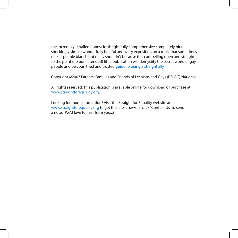the incredibly detailed honest forthright fully comprehensive completely blunt shockingly simple wonderfully helpful and witty exposition on a topic that sometimes makes people blanch but really shouldn't because this compelling open and straight to the point (no pun intended) little publication will demystify the secret world of gay people and be your tried and trusted guide to being a straight ally

Copyright ©2007 Parents, Families and Friends of Lesbians and Gays (PFLAG) National

All rights reserved. This publication is available online for download or purchase at www.straightforequality.org.

Looking for more information? Visit the Straight for Equality website at www.straightforequality.org to get the latest news or click "Contact Us" to send a note. (We'd love to hear from you...)